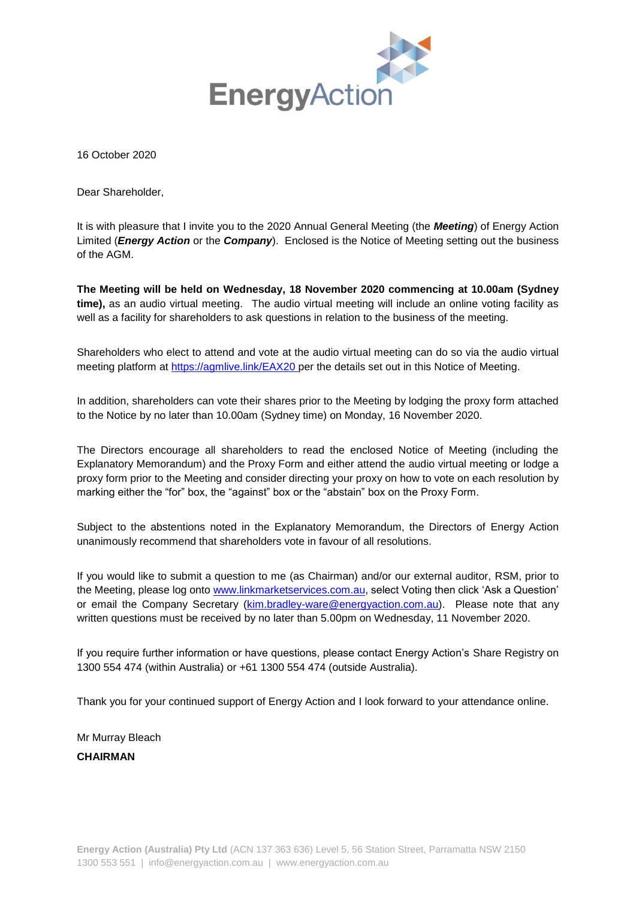

16 October 2020

Dear Shareholder,

It is with pleasure that I invite you to the 2020 Annual General Meeting (the *Meeting*) of Energy Action Limited (*Energy Action* or the *Company*). Enclosed is the Notice of Meeting setting out the business of the AGM.

**The Meeting will be held on Wednesday, 18 November 2020 commencing at 10.00am (Sydney time),** as an audio virtual meeting. The audio virtual meeting will include an online voting facility as well as a facility for shareholders to ask questions in relation to the business of the meeting.

Shareholders who elect to attend and vote at the audio virtual meeting can do so via the audio virtual meeting platform at https://agmlive.link/EAX20 per the details set out in this Notice of Meeting.

In addition, shareholders can vote their shares prior to the Meeting by lodging the proxy form attached to the Notice by no later than 10.00am (Sydney time) on Monday, 16 November 2020.

The Directors encourage all shareholders to read the enclosed Notice of Meeting (including the Explanatory Memorandum) and the Proxy Form and either attend the audio virtual meeting or lodge a proxy form prior to the Meeting and consider directing your proxy on how to vote on each resolution by marking either the "for" box, the "against" box or the "abstain" box on the Proxy Form.

Subject to the abstentions noted in the Explanatory Memorandum, the Directors of Energy Action unanimously recommend that shareholders vote in favour of all resolutions.

If you would like to submit a question to me (as Chairman) and/or our external auditor, RSM, prior to the Meeting, please log ont[o www.linkmarketservices.com.au,](http://www.linkmarketservices.com.au/) select Voting then click 'Ask a Question' or email the Company Secretary [\(kim.bradley-ware@energyaction.com.au\)](mailto:kim.bradley-ware@energyaction.com.au). Please note that any written questions must be received by no later than 5.00pm on Wednesday, 11 November 2020.

If you require further information or have questions, please contact Energy Action's Share Registry on 1300 554 474 (within Australia) or +61 1300 554 474 (outside Australia).

Thank you for your continued support of Energy Action and I look forward to your attendance online.

Mr Murray Bleach **CHAIRMAN**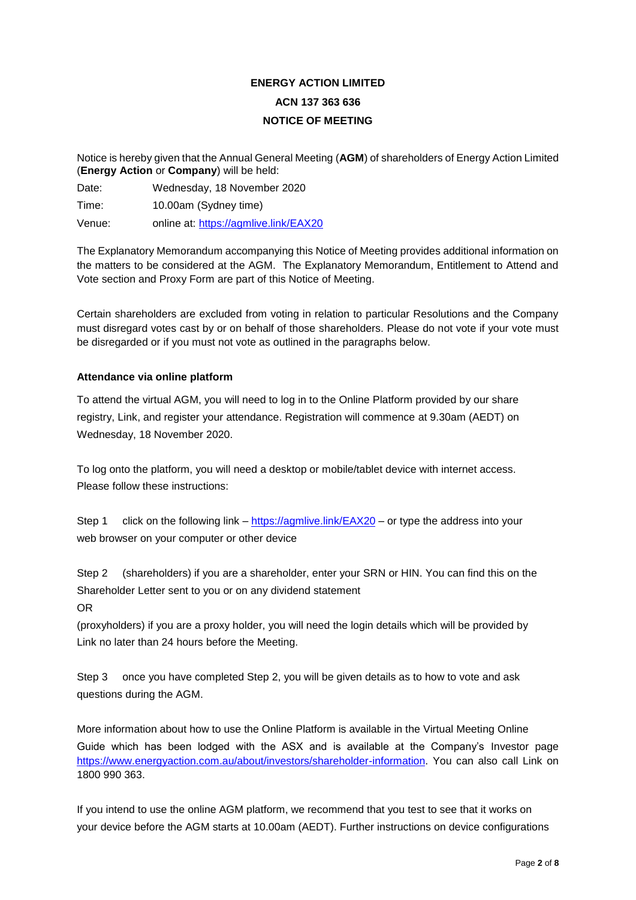# **ENERGY ACTION LIMITED ACN 137 363 636 NOTICE OF MEETING**

Notice is hereby given that the Annual General Meeting (**AGM**) of shareholders of Energy Action Limited (**Energy Action** or **Company**) will be held:

Date: Wednesday, 18 November 2020

Time: 10.00am (Sydney time)

Venue: online at: https://agmlive.link/EAX20

The Explanatory Memorandum accompanying this Notice of Meeting provides additional information on the matters to be considered at the AGM. The Explanatory Memorandum, Entitlement to Attend and Vote section and Proxy Form are part of this Notice of Meeting.

Certain shareholders are excluded from voting in relation to particular Resolutions and the Company must disregard votes cast by or on behalf of those shareholders. Please do not vote if your vote must be disregarded or if you must not vote as outlined in the paragraphs below.

#### **Attendance via online platform**

To attend the virtual AGM, you will need to log in to the Online Platform provided by our share registry, Link, and register your attendance. Registration will commence at 9.30am (AEDT) on Wednesday, 18 November 2020.

To log onto the platform, you will need a desktop or mobile/tablet device with internet access. Please follow these instructions:

Step 1 click on the following link – https://agmlive.link/EAX20 – or type the address into your web browser on your computer or other device

Step 2 (shareholders) if you are a shareholder, enter your SRN or HIN. You can find this on the Shareholder Letter sent to you or on any dividend statement

OR

(proxyholders) if you are a proxy holder, you will need the login details which will be provided by Link no later than 24 hours before the Meeting.

Step 3 once you have completed Step 2, you will be given details as to how to vote and ask questions during the AGM.

More information about how to use the Online Platform is available in the Virtual Meeting Online Guide which has been lodged with the ASX and is available at the Company's Investor page [https://www.energyaction.com.au/about/investors/shareholder-information.](https://urldefense.com/v3/__https:/www.energyaction.com.au/about/investors/shareholder-information__;!!GEb1pAs!VZhsyxocTVv6kxpDhd45eK1pdnDVeaE8IXQSmRtVY-8Hp47FFr-eBRUgcPXq64CIW34xccE5kj0HL2E$) You can also call Link on 1800 990 363.

If you intend to use the online AGM platform, we recommend that you test to see that it works on your device before the AGM starts at 10.00am (AEDT). Further instructions on device configurations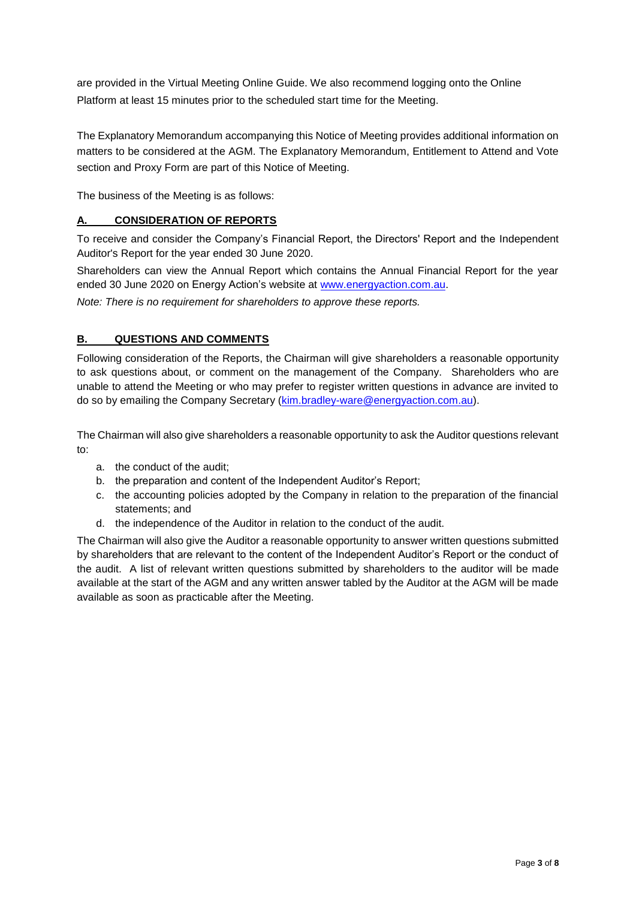are provided in the Virtual Meeting Online Guide. We also recommend logging onto the Online Platform at least 15 minutes prior to the scheduled start time for the Meeting.

The Explanatory Memorandum accompanying this Notice of Meeting provides additional information on matters to be considered at the AGM. The Explanatory Memorandum, Entitlement to Attend and Vote section and Proxy Form are part of this Notice of Meeting.

The business of the Meeting is as follows:

# **A. CONSIDERATION OF REPORTS**

To receive and consider the Company's Financial Report, the Directors' Report and the Independent Auditor's Report for the year ended 30 June 2020.

Shareholders can view the Annual Report which contains the Annual Financial Report for the year ended 30 June 2020 on Energy Action's website at [www.energyaction.com.au.](http://www.energyaction.com.au/)

*Note: There is no requirement for shareholders to approve these reports.*

## **B. QUESTIONS AND COMMENTS**

Following consideration of the Reports, the Chairman will give shareholders a reasonable opportunity to ask questions about, or comment on the management of the Company. Shareholders who are unable to attend the Meeting or who may prefer to register written questions in advance are invited to do so by emailing the Company Secretary (kim.bradley-ware@energyaction.com.au).

The Chairman will also give shareholders a reasonable opportunity to ask the Auditor questions relevant to:

- a. the conduct of the audit;
- b. the preparation and content of the Independent Auditor's Report;
- c. the accounting policies adopted by the Company in relation to the preparation of the financial statements; and
- d. the independence of the Auditor in relation to the conduct of the audit.

The Chairman will also give the Auditor a reasonable opportunity to answer written questions submitted by shareholders that are relevant to the content of the Independent Auditor's Report or the conduct of the audit. A list of relevant written questions submitted by shareholders to the auditor will be made available at the start of the AGM and any written answer tabled by the Auditor at the AGM will be made available as soon as practicable after the Meeting.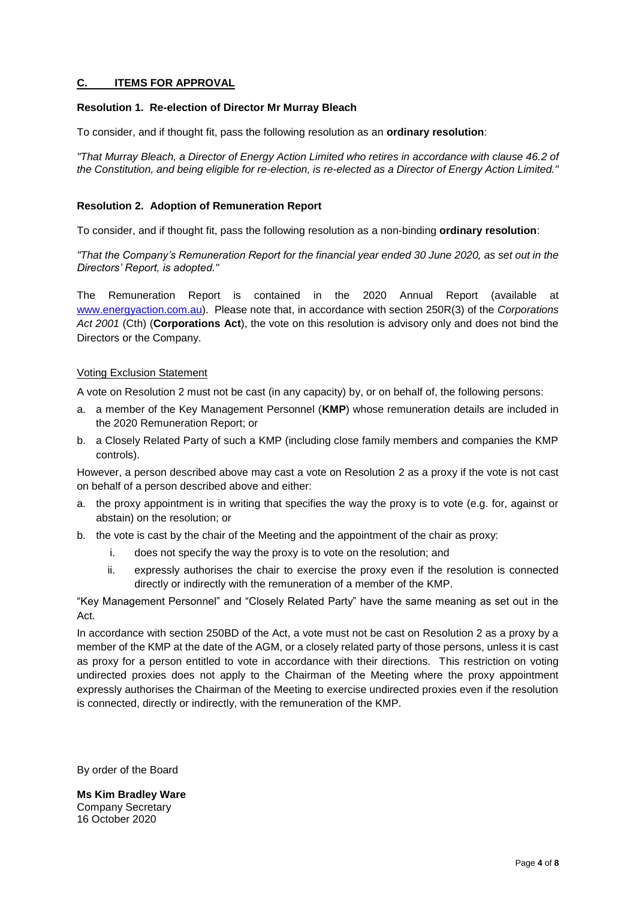#### **C. ITEMS FOR APPROVAL**

#### **Resolution 1. Re-election of Director Mr Murray Bleach**

To consider, and if thought fit, pass the following resolution as an **ordinary resolution**:

*"That Murray Bleach, a Director of Energy Action Limited who retires in accordance with clause 46.2 of the Constitution, and being eligible for re-election, is re-elected as a Director of Energy Action Limited."*

#### **Resolution 2. Adoption of Remuneration Report**

To consider, and if thought fit, pass the following resolution as a non-binding **ordinary resolution**:

*"That the Company's Remuneration Report for the financial year ended 30 June 2020, as set out in the Directors' Report, is adopted."*

The Remuneration Report is contained in the 2020 Annual Report (available at [www.energyaction.com.au\)](http://www.energyaction.com.au/). Please note that, in accordance with section 250R(3) of the *Corporations Act 2001* (Cth) (**Corporations Act**), the vote on this resolution is advisory only and does not bind the Directors or the Company.

#### Voting Exclusion Statement

A vote on Resolution 2 must not be cast (in any capacity) by, or on behalf of, the following persons:

- a. a member of the Key Management Personnel (**KMP**) whose remuneration details are included in the 2020 Remuneration Report; or
- b. a Closely Related Party of such a KMP (including close family members and companies the KMP controls).

However, a person described above may cast a vote on Resolution 2 as a proxy if the vote is not cast on behalf of a person described above and either:

- a. the proxy appointment is in writing that specifies the way the proxy is to vote (e.g. for, against or abstain) on the resolution; or
- b. the vote is cast by the chair of the Meeting and the appointment of the chair as proxy:
	- i. does not specify the way the proxy is to vote on the resolution; and
	- ii. expressly authorises the chair to exercise the proxy even if the resolution is connected directly or indirectly with the remuneration of a member of the KMP.

"Key Management Personnel" and "Closely Related Party" have the same meaning as set out in the Act.

In accordance with section 250BD of the Act, a vote must not be cast on Resolution 2 as a proxy by a member of the KMP at the date of the AGM, or a closely related party of those persons, unless it is cast as proxy for a person entitled to vote in accordance with their directions. This restriction on voting undirected proxies does not apply to the Chairman of the Meeting where the proxy appointment expressly authorises the Chairman of the Meeting to exercise undirected proxies even if the resolution is connected, directly or indirectly, with the remuneration of the KMP.

By order of the Board

**Ms Kim Bradley Ware** Company Secretary 16 October 2020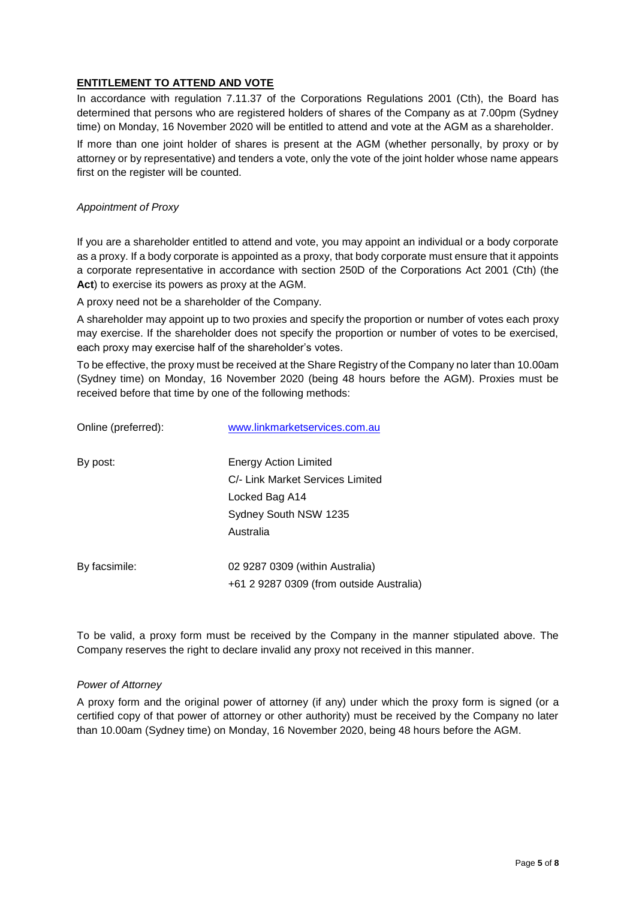## **ENTITLEMENT TO ATTEND AND VOTE**

In accordance with regulation 7.11.37 of the Corporations Regulations 2001 (Cth), the Board has determined that persons who are registered holders of shares of the Company as at 7.00pm (Sydney time) on Monday, 16 November 2020 will be entitled to attend and vote at the AGM as a shareholder.

If more than one joint holder of shares is present at the AGM (whether personally, by proxy or by attorney or by representative) and tenders a vote, only the vote of the joint holder whose name appears first on the register will be counted.

#### *Appointment of Proxy*

If you are a shareholder entitled to attend and vote, you may appoint an individual or a body corporate as a proxy. If a body corporate is appointed as a proxy, that body corporate must ensure that it appoints a corporate representative in accordance with section 250D of the Corporations Act 2001 (Cth) (the **Act**) to exercise its powers as proxy at the AGM.

A proxy need not be a shareholder of the Company.

A shareholder may appoint up to two proxies and specify the proportion or number of votes each proxy may exercise. If the shareholder does not specify the proportion or number of votes to be exercised, each proxy may exercise half of the shareholder's votes.

To be effective, the proxy must be received at the Share Registry of the Company no later than 10.00am (Sydney time) on Monday, 16 November 2020 (being 48 hours before the AGM). Proxies must be received before that time by one of the following methods:

| Online (preferred): | www.linkmarketservices.com.au            |
|---------------------|------------------------------------------|
| By post:            | Energy Action Limited                    |
|                     | C/- Link Market Services Limited         |
|                     | Locked Bag A14                           |
|                     | Sydney South NSW 1235                    |
|                     | Australia                                |
| By facsimile:       | 02 9287 0309 (within Australia)          |
|                     | +61 2 9287 0309 (from outside Australia) |

To be valid, a proxy form must be received by the Company in the manner stipulated above. The Company reserves the right to declare invalid any proxy not received in this manner.

#### *Power of Attorney*

A proxy form and the original power of attorney (if any) under which the proxy form is signed (or a certified copy of that power of attorney or other authority) must be received by the Company no later than 10.00am (Sydney time) on Monday, 16 November 2020, being 48 hours before the AGM.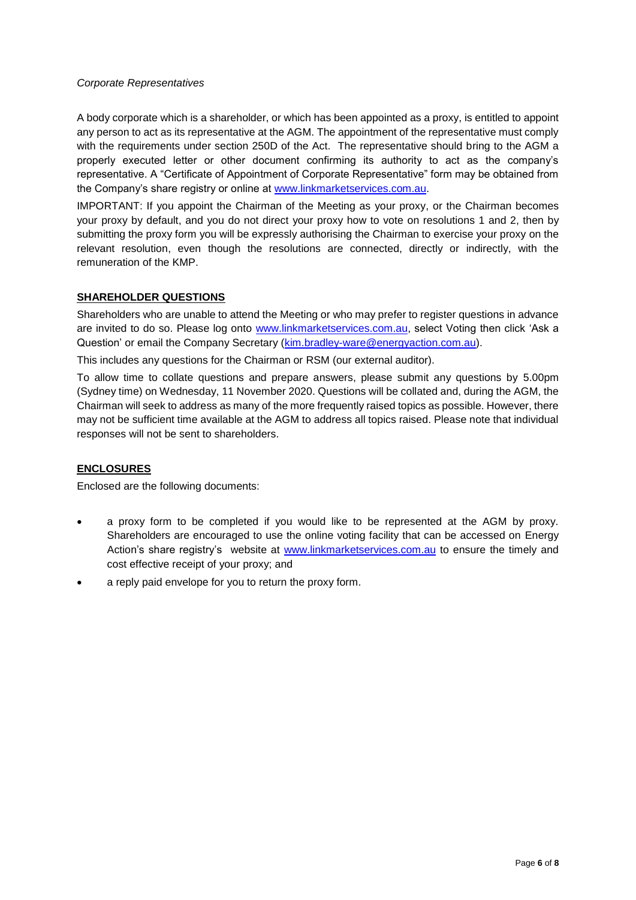#### *Corporate Representatives*

A body corporate which is a shareholder, or which has been appointed as a proxy, is entitled to appoint any person to act as its representative at the AGM. The appointment of the representative must comply with the requirements under section 250D of the Act. The representative should bring to the AGM a properly executed letter or other document confirming its authority to act as the company's representative. A "Certificate of Appointment of Corporate Representative" form may be obtained from the Company's share registry or online at [www.linkmarketservices.com.au.](http://www.linkmarketservices.com.au/)

IMPORTANT: If you appoint the Chairman of the Meeting as your proxy, or the Chairman becomes your proxy by default, and you do not direct your proxy how to vote on resolutions 1 and 2, then by submitting the proxy form you will be expressly authorising the Chairman to exercise your proxy on the relevant resolution, even though the resolutions are connected, directly or indirectly, with the remuneration of the KMP.

#### **SHAREHOLDER QUESTIONS**

Shareholders who are unable to attend the Meeting or who may prefer to register questions in advance are invited to do so. Please log onto [www.linkmarketservices.com.au,](http://www.linkmarketservices.com.au/) select Voting then click 'Ask a Question' or email the Company Secretary [\(kim.bradley-ware@energyaction.com.au\)](mailto:kim.bradley-ware@energyaction.com.au).

This includes any questions for the Chairman or RSM (our external auditor).

To allow time to collate questions and prepare answers, please submit any questions by 5.00pm (Sydney time) on Wednesday, 11 November 2020. Questions will be collated and, during the AGM, the Chairman will seek to address as many of the more frequently raised topics as possible. However, there may not be sufficient time available at the AGM to address all topics raised. Please note that individual responses will not be sent to shareholders.

# **ENCLOSURES**

Enclosed are the following documents:

- a proxy form to be completed if you would like to be represented at the AGM by proxy. Shareholders are encouraged to use the online voting facility that can be accessed on Energy Action's share registry's website at [www.linkmarketservices.com.au](http://www.linkmarketservices.com.au/) to ensure the timely and cost effective receipt of your proxy; and
- a reply paid envelope for you to return the proxy form.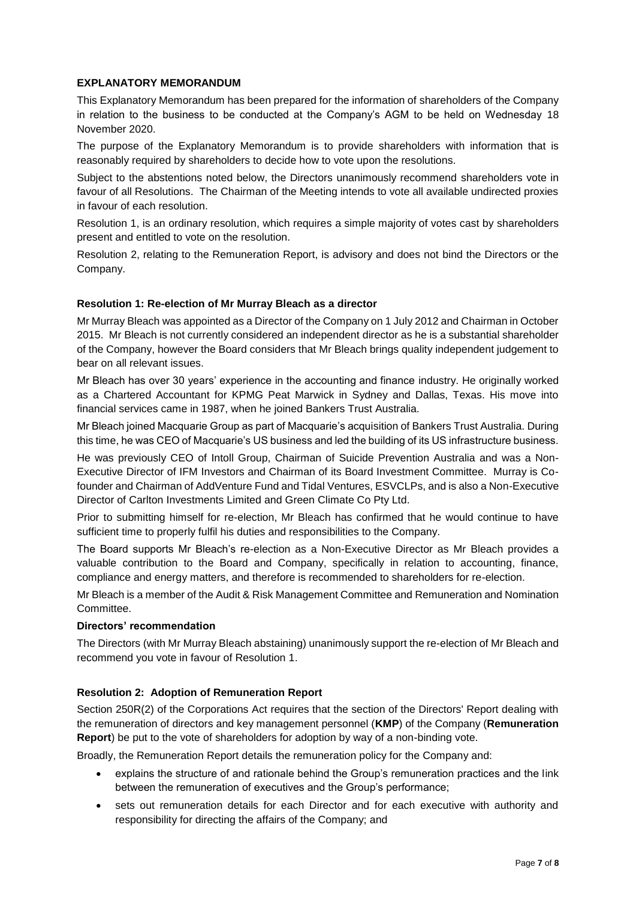## **EXPLANATORY MEMORANDUM**

This Explanatory Memorandum has been prepared for the information of shareholders of the Company in relation to the business to be conducted at the Company's AGM to be held on Wednesday 18 November 2020.

The purpose of the Explanatory Memorandum is to provide shareholders with information that is reasonably required by shareholders to decide how to vote upon the resolutions.

Subject to the abstentions noted below, the Directors unanimously recommend shareholders vote in favour of all Resolutions. The Chairman of the Meeting intends to vote all available undirected proxies in favour of each resolution.

Resolution 1, is an ordinary resolution, which requires a simple majority of votes cast by shareholders present and entitled to vote on the resolution.

Resolution 2, relating to the Remuneration Report, is advisory and does not bind the Directors or the Company.

#### **Resolution 1: Re-election of Mr Murray Bleach as a director**

Mr Murray Bleach was appointed as a Director of the Company on 1 July 2012 and Chairman in October 2015. Mr Bleach is not currently considered an independent director as he is a substantial shareholder of the Company, however the Board considers that Mr Bleach brings quality independent judgement to bear on all relevant issues.

Mr Bleach has over 30 years' experience in the accounting and finance industry. He originally worked as a Chartered Accountant for KPMG Peat Marwick in Sydney and Dallas, Texas. His move into financial services came in 1987, when he joined Bankers Trust Australia.

Mr Bleach joined Macquarie Group as part of Macquarie's acquisition of Bankers Trust Australia. During this time, he was CEO of Macquarie's US business and led the building of its US infrastructure business.

He was previously CEO of Intoll Group, Chairman of Suicide Prevention Australia and was a Non-Executive Director of IFM Investors and Chairman of its Board Investment Committee. Murray is Cofounder and Chairman of AddVenture Fund and Tidal Ventures, ESVCLPs, and is also a Non-Executive Director of Carlton Investments Limited and Green Climate Co Pty Ltd.

Prior to submitting himself for re-election, Mr Bleach has confirmed that he would continue to have sufficient time to properly fulfil his duties and responsibilities to the Company.

The Board supports Mr Bleach's re-election as a Non-Executive Director as Mr Bleach provides a valuable contribution to the Board and Company, specifically in relation to accounting, finance, compliance and energy matters, and therefore is recommended to shareholders for re-election.

Mr Bleach is a member of the Audit & Risk Management Committee and Remuneration and Nomination Committee.

#### **Directors' recommendation**

The Directors (with Mr Murray Bleach abstaining) unanimously support the re-election of Mr Bleach and recommend you vote in favour of Resolution 1.

#### **Resolution 2: Adoption of Remuneration Report**

Section 250R(2) of the Corporations Act requires that the section of the Directors' Report dealing with the remuneration of directors and key management personnel (**KMP**) of the Company (**Remuneration Report**) be put to the vote of shareholders for adoption by way of a non-binding vote.

Broadly, the Remuneration Report details the remuneration policy for the Company and:

- explains the structure of and rationale behind the Group's remuneration practices and the link between the remuneration of executives and the Group's performance;
- sets out remuneration details for each Director and for each executive with authority and responsibility for directing the affairs of the Company; and